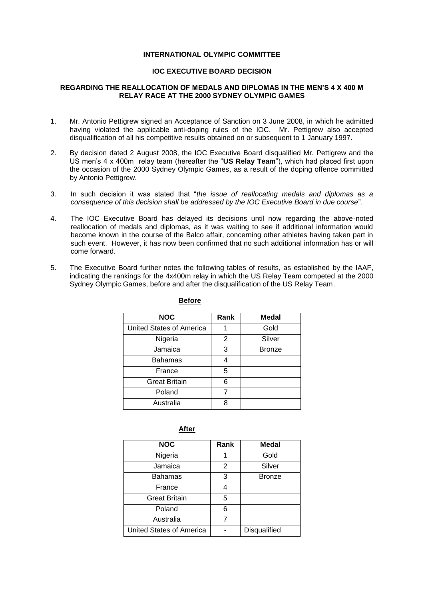## **INTERNATIONAL OLYMPIC COMMITTEE**

## **IOC EXECUTIVE BOARD DECISION**

### **REGARDING THE REALLOCATION OF MEDALS AND DIPLOMAS IN THE MEN'S 4 X 400 M RELAY RACE AT THE 2000 SYDNEY OLYMPIC GAMES**

- 1. Mr. Antonio Pettigrew signed an Acceptance of Sanction on 3 June 2008, in which he admitted having violated the applicable anti-doping rules of the IOC. Mr. Pettigrew also accepted disqualification of all his competitive results obtained on or subsequent to 1 January 1997.
- 2. By decision dated 2 August 2008, the IOC Executive Board disqualified Mr. Pettigrew and the US men's 4 x 400m relay team (hereafter the "**US Relay Team**"), which had placed first upon the occasion of the 2000 Sydney Olympic Games, as a result of the doping offence committed by Antonio Pettigrew.
- 3. In such decision it was stated that "*the issue of reallocating medals and diplomas as a consequence of this decision shall be addressed by the IOC Executive Board in due course*".
- 4. The IOC Executive Board has delayed its decisions until now regarding the above-noted reallocation of medals and diplomas, as it was waiting to see if additional information would become known in the course of the Balco affair, concerning other athletes having taken part in such event. However, it has now been confirmed that no such additional information has or will come forward.
- 5. The Executive Board further notes the following tables of results, as established by the IAAF, indicating the rankings for the 4x400m relay in which the US Relay Team competed at the 2000 Sydney Olympic Games, before and after the disqualification of the US Relay Team.

| <b>NOC</b>               | Rank | <b>Medal</b>  |
|--------------------------|------|---------------|
| United States of America |      | Gold          |
| Nigeria                  | 2    | Silver        |
| Jamaica                  | 3    | <b>Bronze</b> |
| Bahamas                  |      |               |
| France                   | 5    |               |
| <b>Great Britain</b>     | 6    |               |
| Poland                   | 7    |               |
| Australia                | ጸ    |               |

#### **Before**

# **After**

| <b>NOC</b>               | Rank | <b>Medal</b>  |
|--------------------------|------|---------------|
| Nigeria                  |      | Gold          |
| Jamaica                  | 2    | Silver        |
| Bahamas                  | 3    | <b>Bronze</b> |
| France                   |      |               |
| <b>Great Britain</b>     | 5    |               |
| Poland                   | 6    |               |
| Australia                |      |               |
| United States of America |      | Disqualified  |